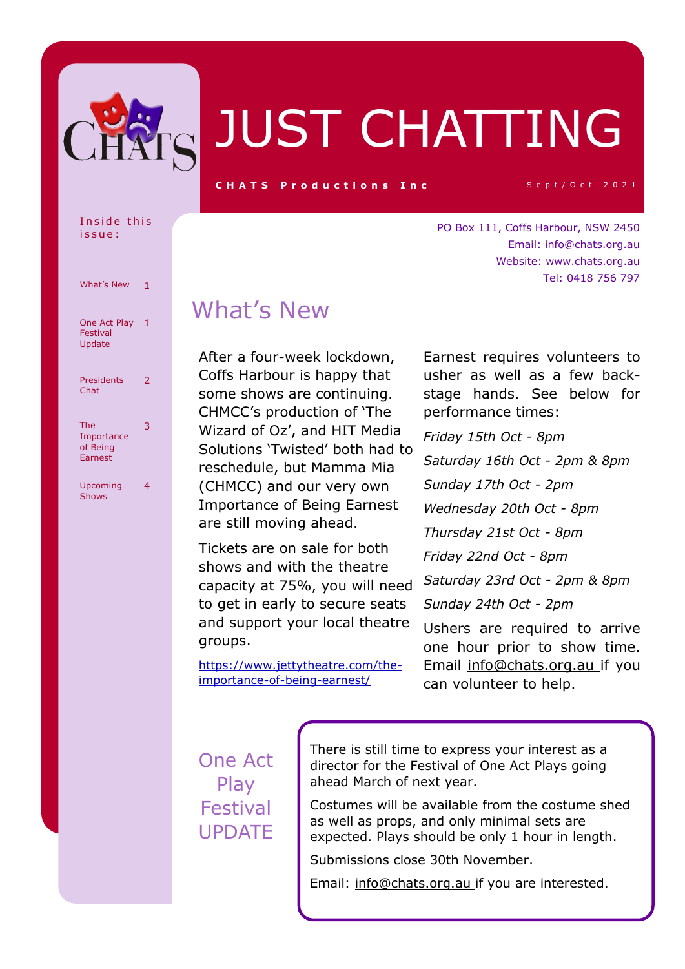

# JUST CHATTING

**C H A T S P r o d u c tions In c** Sept/Oct 2021

Email: info@chats.org.au Website: www.chats.org.au

Tel: 0418 756 797

Inside this i s s u e :

| What's New                               | 1 |
|------------------------------------------|---|
| One Act Play<br>Festival<br>Update       | 1 |
| Presidents<br>Chat                       | 2 |
| The<br>Importance<br>of Being<br>Earnest | 3 |
| Upcoming<br><b>Shows</b>                 | 4 |

## What's New

After a four-week lockdown, Coffs Harbour is happy that some shows are continuing. CHMCC's production of 'The Wizard of Oz', and HIT Media Solutions 'Twisted' both had to reschedule, but Mamma Mia (CHMCC) and our very own Importance of Being Earnest are still moving ahead.

Tickets are on sale for both shows and with the theatre capacity at 75%, you will need to get in early to secure seats and support your local theatre groups.

Earnest requires volunteers to usher as well as a few backstage hands. See below for performance times:

PO Box 111, Coffs Harbour, NSW 2450

*Friday 15th Oct - 8pm Saturday 16th Oct - 2pm & 8pm Sunday 17th Oct - 2pm Wednesday 20th Oct - 8pm Thursday 21st Oct - 8pm Friday 22nd Oct - 8pm Saturday 23rd Oct - 2pm & 8pm Sunday 24th Oct - 2pm* Ushers are required to arrive

https://www.jettytheatre.com/theimportance-of-being-earnest/

one hour prior to show time. Email info@chats.org.au if you can volunteer to help.

### One Act Play Festival UPDATE

There is still time to express your interest as a director for the Festival of One Act Plays going ahead March of next year.

Costumes will be available from the costume shed as well as props, and only minimal sets are expected. Plays should be only 1 hour in length.

Submissions close 30th November.

Email: info@chats.org.au if you are interested.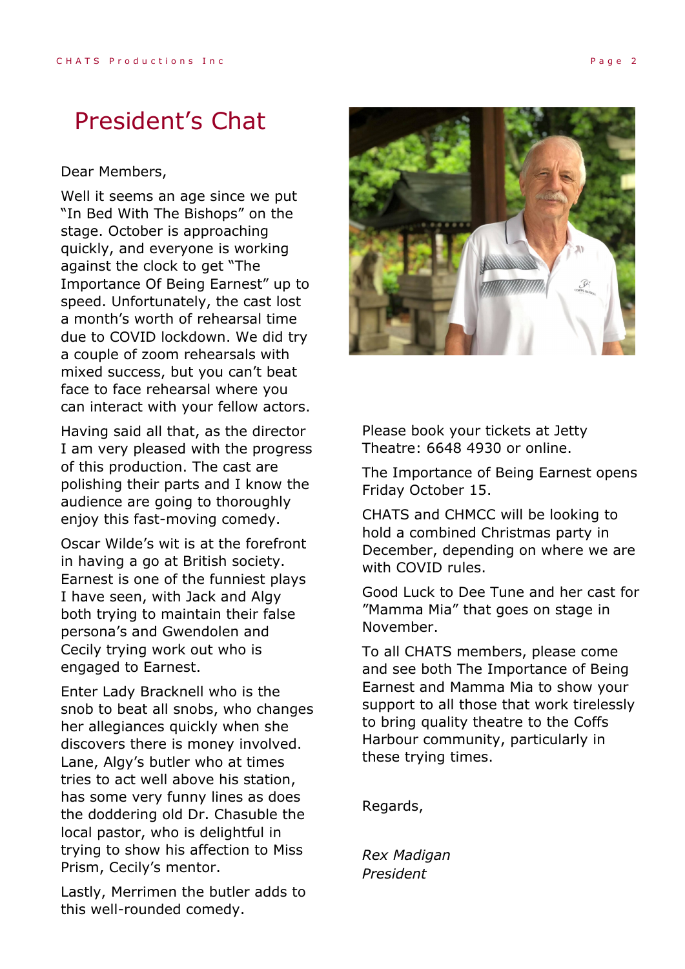## President's Chat

#### Dear Members,

Well it seems an age since we put "In Bed With The Bishops" on the stage. October is approaching quickly, and everyone is working against the clock to get "The Importance Of Being Earnest" up to speed. Unfortunately, the cast lost a month's worth of rehearsal time due to COVID lockdown. We did try a couple of zoom rehearsals with mixed success, but you can't beat face to face rehearsal where you can interact with your fellow actors.

Having said all that, as the director I am very pleased with the progress of this production. The cast are polishing their parts and I know the audience are going to thoroughly enjoy this fast-moving comedy.

Oscar Wilde's wit is at the forefront in having a go at British society. Earnest is one of the funniest plays I have seen, with Jack and Algy both trying to maintain their false persona's and Gwendolen and Cecily trying work out who is engaged to Earnest.

Enter Lady Bracknell who is the snob to beat all snobs, who changes her allegiances quickly when she discovers there is money involved. Lane, Algy's butler who at times tries to act well above his station, has some very funny lines as does the doddering old Dr. Chasuble the local pastor, who is delightful in trying to show his affection to Miss Prism, Cecily's mentor.

Lastly, Merrimen the butler adds to this well-rounded comedy.



Please book your tickets at Jetty Theatre: 6648 4930 or online.

The Importance of Being Earnest opens Friday October 15.

CHATS and CHMCC will be looking to hold a combined Christmas party in December, depending on where we are with COVID rules.

Good Luck to Dee Tune and her cast for "Mamma Mia" that goes on stage in November.

To all CHATS members, please come and see both The Importance of Being Earnest and Mamma Mia to show your support to all those that work tirelessly to bring quality theatre to the Coffs Harbour community, particularly in these trying times.

Regards,

*Rex Madigan President*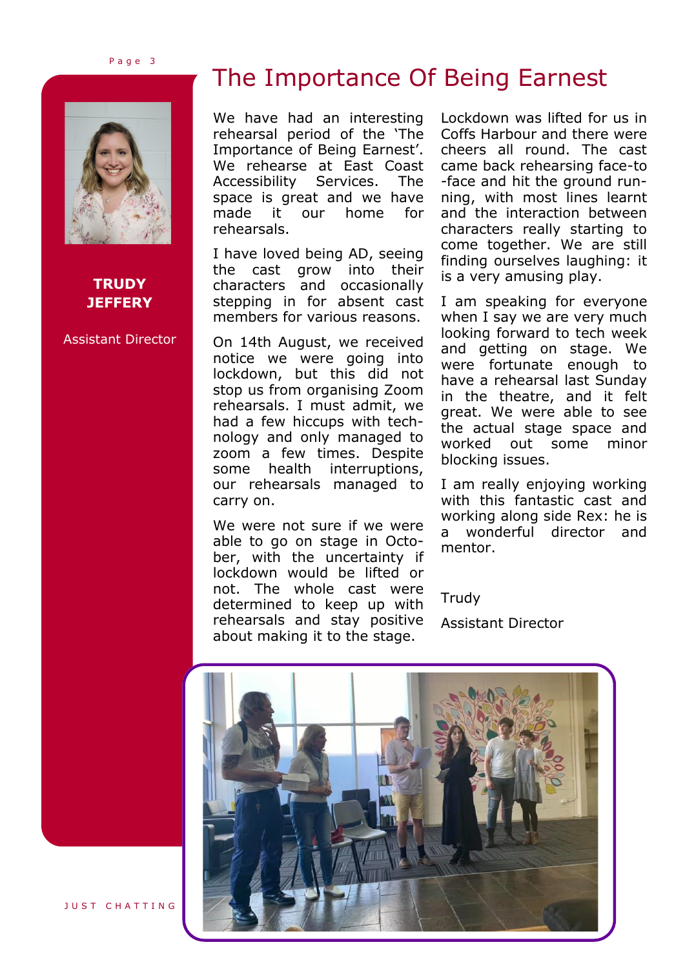P a g e 3



#### **TRUDY JEFFERY**

Assistant Director

## The Importance Of Being Earnest

We have had an interesting rehearsal period of the 'The Importance of Being Earnest'. We rehearse at East Coast Accessibility Services. The space is great and we have made it our home for rehearsals.

I have loved being AD, seeing the cast grow into their characters and occasionally stepping in for absent cast members for various reasons.

On 14th August, we received notice we were going into lockdown, but this did not stop us from organising Zoom rehearsals. I must admit, we had a few hiccups with technology and only managed to zoom a few times. Despite some health interruptions, our rehearsals managed to carry on.

We were not sure if we were able to go on stage in October, with the uncertainty if lockdown would be lifted or not. The whole cast were determined to keep up with rehearsals and stay positive about making it to the stage.

Lockdown was lifted for us in Coffs Harbour and there were cheers all round. The cast came back rehearsing face-to -face and hit the ground running, with most lines learnt and the interaction between characters really starting to come together. We are still finding ourselves laughing: it is a very amusing play.

I am speaking for everyone when I say we are very much looking forward to tech week and getting on stage. We were fortunate enough to have a rehearsal last Sunday in the theatre, and it felt great. We were able to see the actual stage space and worked out some minor blocking issues.

I am really enjoying working with this fantastic cast and working along side Rex: he is a wonderful director and mentor.

**Trudy** 

Assistant Director